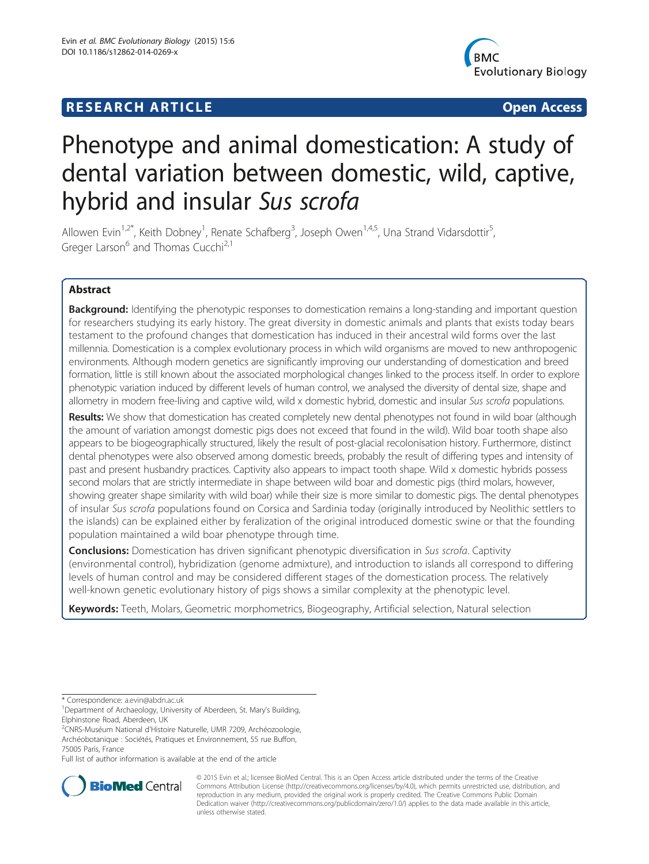# **RESEARCH ARTICLE Example 2014 CONSUMING A RESEARCH ARTICLE**



# Phenotype and animal domestication: A study of dental variation between domestic, wild, captive, hybrid and insular Sus scrofa

Allowen Evin<sup>1,2\*</sup>, Keith Dobney<sup>1</sup>, Renate Schafberg<sup>3</sup>, Joseph Owen<sup>1,4,5</sup>, Una Strand Vidarsdottir<sup>5</sup> , Greger Larson<sup>6</sup> and Thomas Cucchi<sup>2,1</sup>

# Abstract

**Background:** Identifying the phenotypic responses to domestication remains a long-standing and important question for researchers studying its early history. The great diversity in domestic animals and plants that exists today bears testament to the profound changes that domestication has induced in their ancestral wild forms over the last millennia. Domestication is a complex evolutionary process in which wild organisms are moved to new anthropogenic environments. Although modern genetics are significantly improving our understanding of domestication and breed formation, little is still known about the associated morphological changes linked to the process itself. In order to explore phenotypic variation induced by different levels of human control, we analysed the diversity of dental size, shape and allometry in modern free-living and captive wild, wild x domestic hybrid, domestic and insular Sus scrofa populations.

Results: We show that domestication has created completely new dental phenotypes not found in wild boar (although the amount of variation amongst domestic pigs does not exceed that found in the wild). Wild boar tooth shape also appears to be biogeographically structured, likely the result of post-glacial recolonisation history. Furthermore, distinct dental phenotypes were also observed among domestic breeds, probably the result of differing types and intensity of past and present husbandry practices. Captivity also appears to impact tooth shape. Wild x domestic hybrids possess second molars that are strictly intermediate in shape between wild boar and domestic pigs (third molars, however, showing greater shape similarity with wild boar) while their size is more similar to domestic pigs. The dental phenotypes of insular Sus scrofa populations found on Corsica and Sardinia today (originally introduced by Neolithic settlers to the islands) can be explained either by feralization of the original introduced domestic swine or that the founding population maintained a wild boar phenotype through time.

**Conclusions:** Domestication has driven significant phenotypic diversification in Sus scrofa. Captivity (environmental control), hybridization (genome admixture), and introduction to islands all correspond to differing levels of human control and may be considered different stages of the domestication process. The relatively well-known genetic evolutionary history of pigs shows a similar complexity at the phenotypic level.

Keywords: Teeth, Molars, Geometric morphometrics, Biogeography, Artificial selection, Natural selection

\* Correspondence: [a.evin@abdn.ac.uk](mailto:a.evin@abdn.ac.uk) <sup>1</sup>

<sup>1</sup>Department of Archaeology, University of Aberdeen, St. Mary's Building, Elphinstone Road, Aberdeen, UK

2 CNRS-Muséum National d'Histoire Naturelle, UMR 7209, Archéozoologie, Archéobotanique : Sociétés, Pratiques et Environnement, 55 rue Buffon, 75005 Paris, France

Full list of author information is available at the end of the article



© 2015 Evin et al.; licensee BioMed Central. This is an Open Access article distributed under the terms of the Creative Commons Attribution License [\(http://creativecommons.org/licenses/by/4.0\)](http://creativecommons.org/licenses/by/4.0), which permits unrestricted use, distribution, and reproduction in any medium, provided the original work is properly credited. The Creative Commons Public Domain Dedication waiver [\(http://creativecommons.org/publicdomain/zero/1.0/](http://creativecommons.org/publicdomain/zero/1.0/)) applies to the data made available in this article, unless otherwise stated.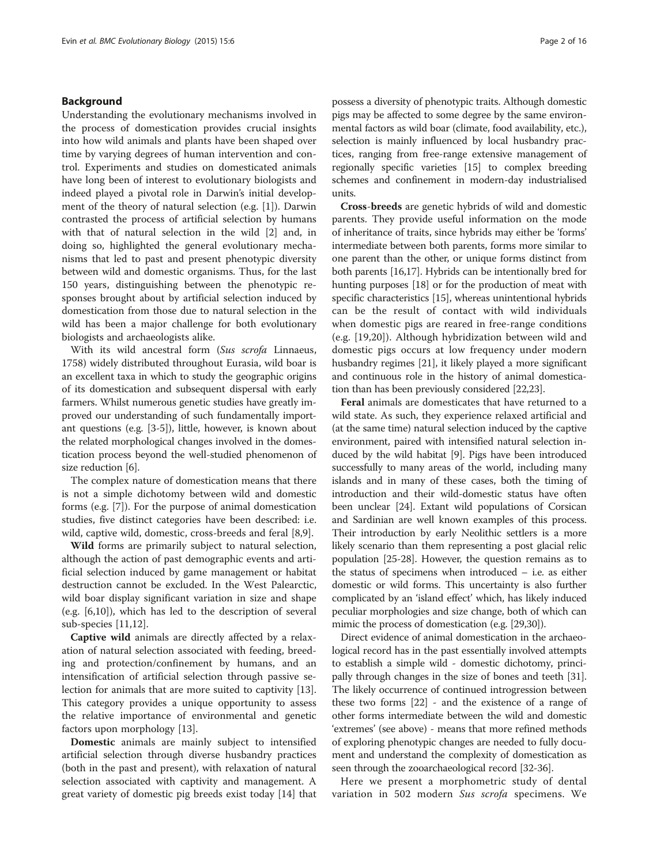#### Background

Understanding the evolutionary mechanisms involved in the process of domestication provides crucial insights into how wild animals and plants have been shaped over time by varying degrees of human intervention and control. Experiments and studies on domesticated animals have long been of interest to evolutionary biologists and indeed played a pivotal role in Darwin's initial development of the theory of natural selection (e.g. [[1\]](#page-13-0)). Darwin contrasted the process of artificial selection by humans with that of natural selection in the wild [[2\]](#page-13-0) and, in doing so, highlighted the general evolutionary mechanisms that led to past and present phenotypic diversity between wild and domestic organisms. Thus, for the last 150 years, distinguishing between the phenotypic responses brought about by artificial selection induced by domestication from those due to natural selection in the wild has been a major challenge for both evolutionary biologists and archaeologists alike.

With its wild ancestral form (Sus scrofa Linnaeus, 1758) widely distributed throughout Eurasia, wild boar is an excellent taxa in which to study the geographic origins of its domestication and subsequent dispersal with early farmers. Whilst numerous genetic studies have greatly improved our understanding of such fundamentally important questions (e.g. [\[3](#page-13-0)-[5](#page-13-0)]), little, however, is known about the related morphological changes involved in the domestication process beyond the well-studied phenomenon of size reduction [\[6](#page-13-0)].

The complex nature of domestication means that there is not a simple dichotomy between wild and domestic forms (e.g. [\[7](#page-13-0)]). For the purpose of animal domestication studies, five distinct categories have been described: i.e. wild, captive wild, domestic, cross-breeds and feral [[8,9\]](#page-13-0).

Wild forms are primarily subject to natural selection, although the action of past demographic events and artificial selection induced by game management or habitat destruction cannot be excluded. In the West Palearctic, wild boar display significant variation in size and shape (e.g. [\[6,10](#page-13-0)]), which has led to the description of several sub-species [\[11,12\]](#page-13-0).

Captive wild animals are directly affected by a relaxation of natural selection associated with feeding, breeding and protection/confinement by humans, and an intensification of artificial selection through passive selection for animals that are more suited to captivity [\[13](#page-13-0)]. This category provides a unique opportunity to assess the relative importance of environmental and genetic factors upon morphology [[13](#page-13-0)].

Domestic animals are mainly subject to intensified artificial selection through diverse husbandry practices (both in the past and present), with relaxation of natural selection associated with captivity and management. A great variety of domestic pig breeds exist today [\[14](#page-13-0)] that possess a diversity of phenotypic traits. Although domestic pigs may be affected to some degree by the same environmental factors as wild boar (climate, food availability, etc.), selection is mainly influenced by local husbandry practices, ranging from free-range extensive management of regionally specific varieties [\[15\]](#page-13-0) to complex breeding schemes and confinement in modern-day industrialised units.

Cross-breeds are genetic hybrids of wild and domestic parents. They provide useful information on the mode of inheritance of traits, since hybrids may either be 'forms' intermediate between both parents, forms more similar to one parent than the other, or unique forms distinct from both parents [\[16,17\]](#page-13-0). Hybrids can be intentionally bred for hunting purposes [\[18\]](#page-13-0) or for the production of meat with specific characteristics [[15](#page-13-0)], whereas unintentional hybrids can be the result of contact with wild individuals when domestic pigs are reared in free-range conditions (e.g. [[19,20\]](#page-13-0)). Although hybridization between wild and domestic pigs occurs at low frequency under modern husbandry regimes [[21\]](#page-13-0), it likely played a more significant and continuous role in the history of animal domestication than has been previously considered [[22](#page-13-0),[23](#page-13-0)].

Feral animals are domesticates that have returned to a wild state. As such, they experience relaxed artificial and (at the same time) natural selection induced by the captive environment, paired with intensified natural selection induced by the wild habitat [[9\]](#page-13-0). Pigs have been introduced successfully to many areas of the world, including many islands and in many of these cases, both the timing of introduction and their wild-domestic status have often been unclear [\[24\]](#page-14-0). Extant wild populations of Corsican and Sardinian are well known examples of this process. Their introduction by early Neolithic settlers is a more likely scenario than them representing a post glacial relic population [[25-28\]](#page-14-0). However, the question remains as to the status of specimens when introduced – i.e. as either domestic or wild forms. This uncertainty is also further complicated by an 'island effect' which, has likely induced peculiar morphologies and size change, both of which can mimic the process of domestication (e.g. [[29,30](#page-14-0)]).

Direct evidence of animal domestication in the archaeological record has in the past essentially involved attempts to establish a simple wild - domestic dichotomy, principally through changes in the size of bones and teeth [[31](#page-14-0)]. The likely occurrence of continued introgression between these two forms [\[22\]](#page-13-0) - and the existence of a range of other forms intermediate between the wild and domestic 'extremes' (see above) - means that more refined methods of exploring phenotypic changes are needed to fully document and understand the complexity of domestication as seen through the zooarchaeological record [\[32-36](#page-14-0)].

Here we present a morphometric study of dental variation in 502 modern Sus scrofa specimens. We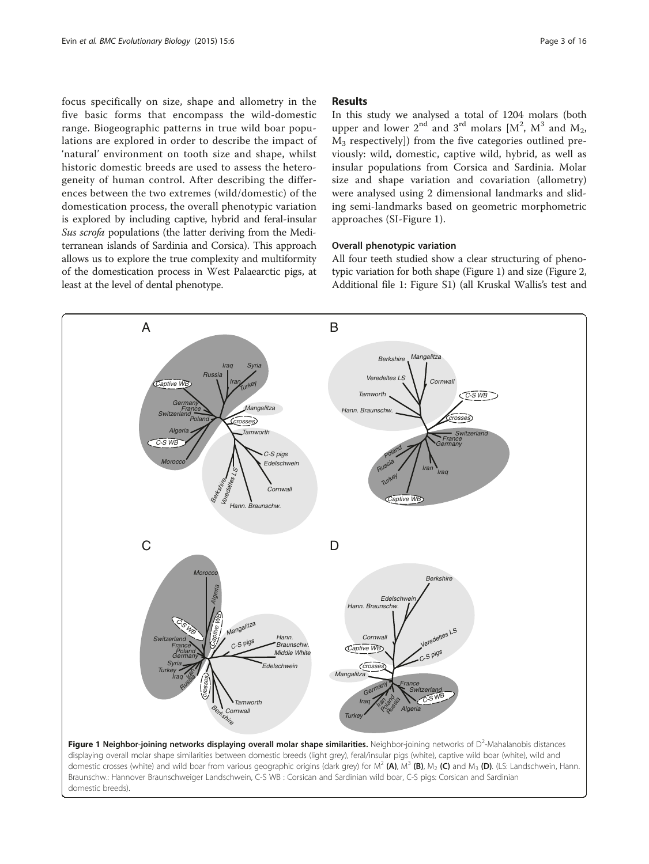<span id="page-2-0"></span>focus specifically on size, shape and allometry in the five basic forms that encompass the wild-domestic range. Biogeographic patterns in true wild boar populations are explored in order to describe the impact of 'natural' environment on tooth size and shape, whilst historic domestic breeds are used to assess the heterogeneity of human control. After describing the differences between the two extremes (wild/domestic) of the domestication process, the overall phenotypic variation is explored by including captive, hybrid and feral-insular Sus scrofa populations (the latter deriving from the Mediterranean islands of Sardinia and Corsica). This approach allows us to explore the true complexity and multiformity of the domestication process in West Palaearctic pigs, at least at the level of dental phenotype.

#### Results

In this study we analysed a total of 1204 molars (both upper and lower  $2^{nd}$  and  $3^{rd}$  molars  $[M^2, M^3$  and  $M_2$ ,  $M_3$  respectively]) from the five categories outlined previously: wild, domestic, captive wild, hybrid, as well as insular populations from Corsica and Sardinia. Molar size and shape variation and covariation (allometry) were analysed using 2 dimensional landmarks and sliding semi-landmarks based on geometric morphometric approaches (SI-Figure 1).

## Overall phenotypic variation

All four teeth studied show a clear structuring of phenotypic variation for both shape (Figure 1) and size (Figure [2](#page-3-0), Additional file [1](#page-13-0): Figure S1) (all Kruskal Wallis's test and

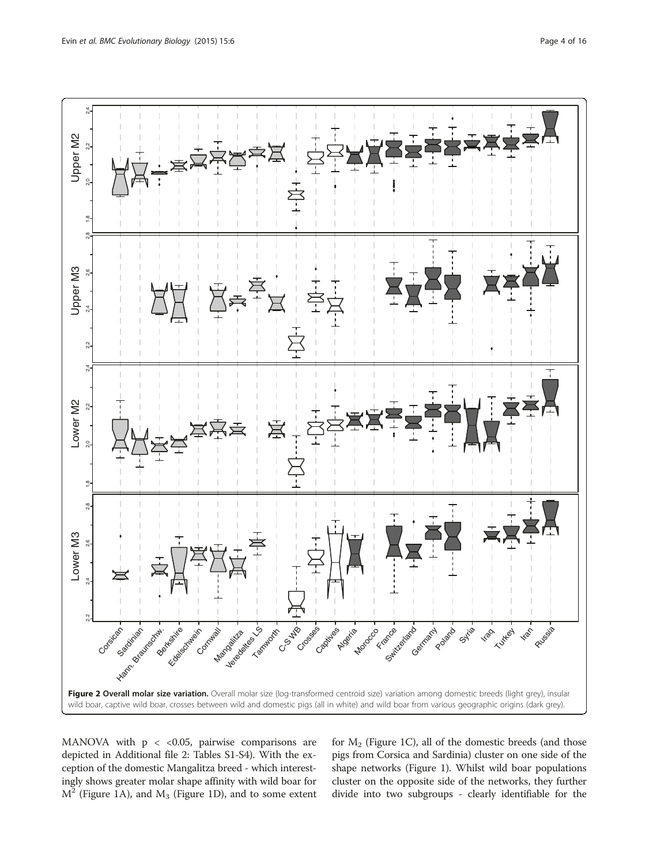<span id="page-3-0"></span>

MANOVA with  $p \lt 0.05$ , pairwise comparisons are depicted in Additional file [2:](#page-13-0) Tables S1-S4). With the exception of the domestic Mangalitza breed - which interestingly shows greater molar shape affinity with wild boar for  $M<sup>2</sup>$  (Figure [1](#page-2-0)A), and  $M<sub>3</sub>$  (Figure [1D](#page-2-0)), and to some extent for  $M_2$  (Figure [1](#page-2-0)C), all of the domestic breeds (and those pigs from Corsica and Sardinia) cluster on one side of the shape networks (Figure [1](#page-2-0)). Whilst wild boar populations cluster on the opposite side of the networks, they further divide into two subgroups - clearly identifiable for the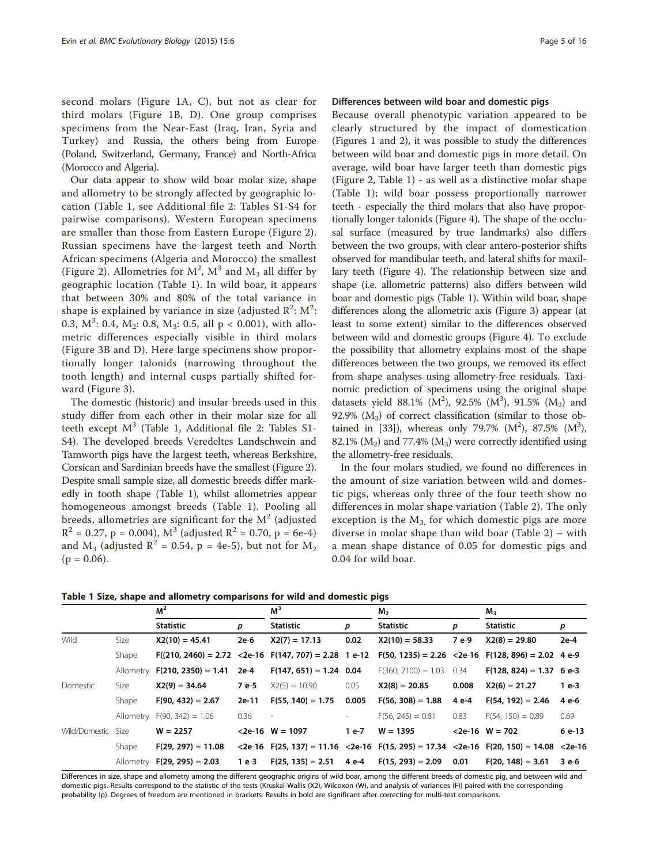second molars (Figure [1A](#page-2-0), C), but not as clear for third molars (Figure [1B](#page-2-0), D). One group comprises specimens from the Near-East (Iraq, Iran, Syria and Turkey) and Russia, the others being from Europe (Poland, Switzerland, Germany, France) and North-Africa (Morocco and Algeria).

Our data appear to show wild boar molar size, shape and allometry to be strongly affected by geographic location (Table 1, see Additional file [2](#page-13-0): Tables S1-S4 for pairwise comparisons). Western European specimens are smaller than those from Eastern Europe (Figure [2](#page-3-0)). Russian specimens have the largest teeth and North African specimens (Algeria and Morocco) the smallest (Figure [2](#page-3-0)). Allometries for  $M^2$ ,  $M^3$  and  $M_3$  all differ by geographic location (Table 1). In wild boar, it appears that between 30% and 80% of the total variance in shape is explained by variance in size (adjusted  $\textsf{R}^2\textsf{: M}^2\textsf{:}$ 0.3,  $M^3$ : 0.4,  $M_2$ : 0.8,  $M_3$ : 0.5, all  $p < 0.001$ ), with allometric differences especially visible in third molars (Figure [3](#page-5-0)B and D). Here large specimens show proportionally longer talonids (narrowing throughout the tooth length) and internal cusps partially shifted forward (Figure [3](#page-5-0)).

The domestic (historic) and insular breeds used in this study differ from each other in their molar size for all teeth except  $M^3$  (Table 1, Additional file [2](#page-13-0): Tables S1-S4). The developed breeds Veredeltes Landschwein and Tamworth pigs have the largest teeth, whereas Berkshire, Corsican and Sardinian breeds have the smallest (Figure [2](#page-3-0)). Despite small sample size, all domestic breeds differ markedly in tooth shape (Table 1), whilst allometries appear homogeneous amongst breeds (Table 1). Pooling all breeds, allometries are significant for the  $M<sup>2</sup>$  (adjusted  $R^{2} = 0.27$ , p = 0.004), M<sup>3</sup> (adjusted  $R^{2} = 0.70$ , p = 6e-4) and  $M_3$  (adjusted  $R^2 = 0.54$ , p = 4e-5), but not for  $M_2$  $(p = 0.06)$ .

#### Differences between wild boar and domestic pigs

Because overall phenotypic variation appeared to be clearly structured by the impact of domestication (Figures [1](#page-2-0) and [2\)](#page-3-0), it was possible to study the differences between wild boar and domestic pigs in more detail. On average, wild boar have larger teeth than domestic pigs (Figure [2](#page-3-0), Table 1) - as well as a distinctive molar shape (Table 1); wild boar possess proportionally narrower teeth - especially the third molars that also have proportionally longer talonids (Figure [4](#page-5-0)). The shape of the occlusal surface (measured by true landmarks) also differs between the two groups, with clear antero-posterior shifts observed for mandibular teeth, and lateral shifts for maxillary teeth (Figure [4\)](#page-5-0). The relationship between size and shape (i.e. allometric patterns) also differs between wild boar and domestic pigs (Table 1). Within wild boar, shape differences along the allometric axis (Figure [3](#page-5-0)) appear (at least to some extent) similar to the differences observed between wild and domestic groups (Figure [4](#page-5-0)). To exclude the possibility that allometry explains most of the shape differences between the two groups, we removed its effect from shape analyses using allometry-free residuals. Taxinomic prediction of specimens using the original shape datasets yield 88.1% ( $M^2$ ), 92.5% ( $M^3$ ), 91.5% ( $M_2$ ) and 92.9%  $(M_3)$  of correct classification (similar to those ob-tained in [[33\]](#page-14-0)), whereas only 79.7%  $(M^2)$ , 87.5%  $(M^3)$ , 82.1% ( $M<sub>2</sub>$ ) and 77.4% ( $M<sub>3</sub>$ ) were correctly identified using the allometry-free residuals.

In the four molars studied, we found no differences in the amount of size variation between wild and domestic pigs, whereas only three of the four teeth show no differences in molar shape variation (Table [2\)](#page-6-0). The only exception is the  $M<sub>3</sub>$  for which domestic pigs are more diverse in molar shape than wild boar (Table [2](#page-6-0)) – with a mean shape distance of 0.05 for domestic pigs and 0.04 for wild boar.

Table 1 Size, shape and allometry comparisons for wild and domestic pigs

|                    |       | M <sup>2</sup>                                                                                                                                 |         | M <sup>3</sup>            |        | M <sub>2</sub>                                                                                                           |       | $M_{\rm R}$                |        |
|--------------------|-------|------------------------------------------------------------------------------------------------------------------------------------------------|---------|---------------------------|--------|--------------------------------------------------------------------------------------------------------------------------|-------|----------------------------|--------|
|                    |       | <b>Statistic</b>                                                                                                                               | p       | <b>Statistic</b>          | p      | <b>Statistic</b>                                                                                                         | p     | <b>Statistic</b>           | р      |
| Wild               | Size  | $X2(10) = 45.41$                                                                                                                               | 2e-6    | $X2(7) = 17.13$           | 0.02   | $X2(10) = 58.33$                                                                                                         | 7 e-9 | $X2(8) = 29.80$            | $2e-4$ |
|                    | Shape | $F((210, 2460) = 2.72 \le 2e-16 \cdot F(147, 707) = 2.28 \cdot 1 e-12 \cdot F(50, 1235) = 2.26 \le 2e-16 \cdot F(128, 896) = 2.02 \cdot 4 e-9$ |         |                           |        |                                                                                                                          |       |                            |        |
|                    |       | Allometry $F(210, 2350) = 1.41$                                                                                                                | 2e-4    | $F(147, 651) = 1.24$ 0.04 |        | $F(360, 2100) = 1.03$ 0.34                                                                                               |       | $F(128, 824) = 1.37$ 6 e-3 |        |
| Domestic           | Size  | $X2(9) = 34.64$                                                                                                                                | 7 e-5   | $X2(5) = 10.90$           | 0.05   | $X2(8) = 20.85$                                                                                                          | 0.008 | $X2(6) = 21.27$            | $1e-3$ |
|                    | Shape | $F(90, 432) = 2.67$                                                                                                                            | $2e-11$ | $F(55, 140) = 1.75$       | 0.005  | $F(56, 308) = 1.88$                                                                                                      | 4 e-4 | $F(54, 192) = 2.46$        | 4 e-6  |
|                    |       | Allometry $F(90, 342) = 1.06$                                                                                                                  | 0.36    | $\sim$ $-$                | $\sim$ | $F(56, 245) = 0.81$                                                                                                      | 0.83  | $F(54, 150) = 0.89$        | 0.69   |
| Wild/Domestic Size |       | $W = 2257$                                                                                                                                     |         | $<$ 2e-16 W = 1097        | 1 e-7  | $W = 1395$                                                                                                               |       | $<$ 2e-16 W = 702          | 6 e-13 |
|                    | Shape | $F(29, 297) = 11.08$                                                                                                                           |         |                           |        | $\langle$ 2e-16 F(25, 137) = 11.16 $\langle$ 2e-16 F(15, 295) = 17.34 $\langle$ 2e-16 F(20, 150) = 14.08 $\langle$ 2e-16 |       |                            |        |
|                    |       | Allometry $F(29, 295) = 2.03$                                                                                                                  | $1e-3$  |                           |        | $F(25, 135) = 2.51$ 4 e-4 $F(15, 293) = 2.09$ 0.01                                                                       |       | $F(20, 148) = 3.61$ 3 e-6  |        |

Differences in size, shape and allometry among the different geographic origins of wild boar, among the different breeds of domestic pig, and between wild and domestic pigs. Results correspond to the statistic of the tests (Kruskal-Wallis (X2), Wilcoxon (W), and analysis of variances (F)) paired with the corresponding probability (p). Degrees of freedom are mentioned in brackets. Results in bold are significant after correcting for multi-test comparisons.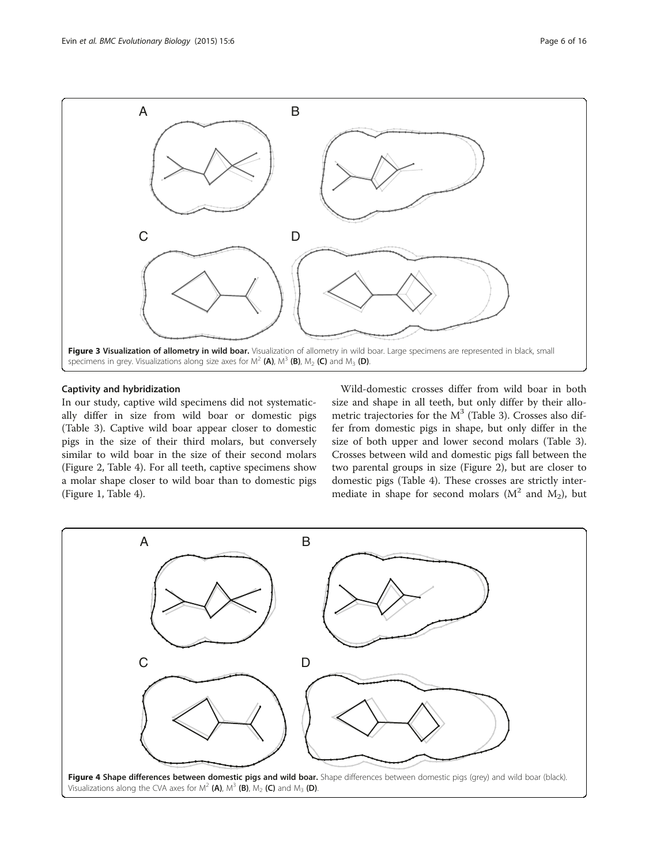<span id="page-5-0"></span>

### Captivity and hybridization

In our study, captive wild specimens did not systematically differ in size from wild boar or domestic pigs (Table [3](#page-6-0)). Captive wild boar appear closer to domestic pigs in the size of their third molars, but conversely similar to wild boar in the size of their second molars (Figure [2,](#page-3-0) Table [4\)](#page-7-0). For all teeth, captive specimens show a molar shape closer to wild boar than to domestic pigs (Figure [1](#page-2-0), Table [4\)](#page-7-0).

Wild-domestic crosses differ from wild boar in both size and shape in all teeth, but only differ by their allometric trajectories for the  $M<sup>3</sup>$  (Table [3\)](#page-6-0). Crosses also differ from domestic pigs in shape, but only differ in the size of both upper and lower second molars (Table [3](#page-6-0)). Crosses between wild and domestic pigs fall between the two parental groups in size (Figure [2](#page-3-0)), but are closer to domestic pigs (Table [4\)](#page-7-0). These crosses are strictly intermediate in shape for second molars  $(M^2 \text{ and } M_2)$ , but

![](_page_5_Figure_6.jpeg)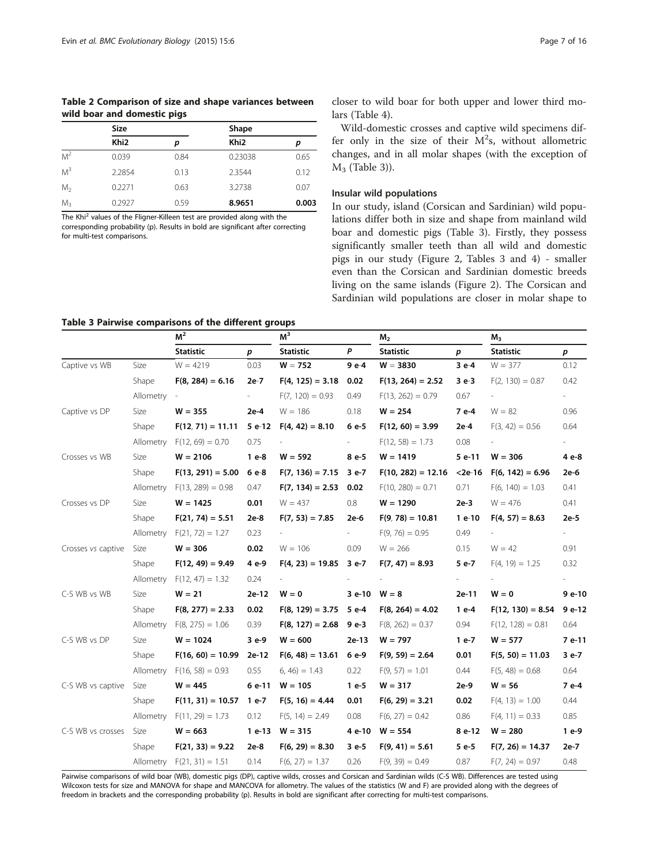<span id="page-6-0"></span>Table 2 Comparison of size and shape variances between wild boar and domestic pigs

|                | <b>Size</b>      |      | Shape            |       |  |  |  |
|----------------|------------------|------|------------------|-------|--|--|--|
|                | Khi <sub>2</sub> | D    | Khi <sub>2</sub> | p     |  |  |  |
| M <sup>2</sup> | 0.039            | 0.84 | 0.23038          | 0.65  |  |  |  |
| M <sup>3</sup> | 2.2854           | 0.13 | 2.3544           | 0.12  |  |  |  |
| M <sub>2</sub> | 0.2271           | 0.63 | 3.2738           | 0.07  |  |  |  |
| $M_3$          | 0.2927           | 0.59 | 8.9651           | 0.003 |  |  |  |

The Khi<sup>2</sup> values of the Fligner-Killeen test are provided along with the corresponding probability (p). Results in bold are significant after correcting for multi-test comparisons.

closer to wild boar for both upper and lower third molars (Table [4](#page-7-0)).

Wild-domestic crosses and captive wild specimens differ only in the size of their  $M^2$ s, without allometric changes, and in all molar shapes (with the exception of  $M<sub>3</sub>$  (Table 3)).

## Insular wild populations

In our study, island (Corsican and Sardinian) wild populations differ both in size and shape from mainland wild boar and domestic pigs (Table 3). Firstly, they possess significantly smaller teeth than all wild and domestic pigs in our study (Figure [2](#page-3-0), Tables 3 and [4\)](#page-7-0) - smaller even than the Corsican and Sardinian domestic breeds living on the same islands (Figure [2\)](#page-3-0). The Corsican and Sardinian wild populations are closer in molar shape to

Table 3 Pairwise comparisons of the different groups

|                    |           | M <sup>2</sup>      |        | M <sup>3</sup>           |        | M <sub>2</sub>       |           | $M_{\rm R}$         |                          |  |
|--------------------|-----------|---------------------|--------|--------------------------|--------|----------------------|-----------|---------------------|--------------------------|--|
|                    |           | <b>Statistic</b>    | p      | <b>Statistic</b>         | P      | <b>Statistic</b>     | p         | <b>Statistic</b>    | p                        |  |
| Captive vs WB      | Size      | $W = 4219$          | 0.03   | $W = 752$                | $9e-4$ | $W = 3830$           | $3e-4$    | $W = 377$           | 0.12                     |  |
|                    | Shape     | $F(8, 284) = 6.16$  | 2e-7   | $F(4, 125) = 3.18$       | 0.02   | $F(13, 264) = 2.52$  | $3e-3$    | $F(2, 130) = 0.87$  | 0.42                     |  |
|                    | Allometry |                     | $\sim$ | $F(7, 120) = 0.93$       | 0.49   | $F(13, 262) = 0.79$  | 0.67      |                     | $\sim$                   |  |
| Captive vs DP      | Size      | $W = 355$           | 2e-4   | $W = 186$                | 0.18   | $W = 254$            | 7 e-4     | $W = 82$            | 0.96                     |  |
|                    | Shape     | $F(12, 71) = 11.11$ | 5 e-12 | $F(4, 42) = 8.10$        | 6 e-5  | $F(12, 60) = 3.99$   | 2e-4      | $F(3, 42) = 0.56$   | 0.64                     |  |
|                    | Allometry | $F(12, 69) = 0.70$  | 0.75   |                          |        | $F(12, 58) = 1.73$   | 0.08      |                     | $\overline{\phantom{a}}$ |  |
| Crosses vs WB      | Size      | $W = 2106$          | $1e-8$ | $W = 592$                | 8 e-5  | $W = 1419$           | 5 e-11    | $W = 306$           | 4 e-8                    |  |
|                    | Shape     | $F(13, 291) = 5.00$ | 6 e-8  | $F(7, 136) = 7.15$       | 3 e-7  | $F(10, 282) = 12.16$ | $<$ 2e-16 | $F(6, 142) = 6.96$  | 2e-6                     |  |
|                    | Allometry | $F(13, 289) = 0.98$ | 0.47   | $F(7, 134) = 2.53$       | 0.02   | $F(10, 280) = 0.71$  | 0.71      | $F(6, 140) = 1.03$  | 0.41                     |  |
| Crosses vs DP      | Size      | $W = 1425$          | 0.01   | $W = 437$                | 0.8    | $W = 1290$           | $2e-3$    | $W = 476$           | 0.41                     |  |
|                    | Shape     | $F(21, 74) = 5.51$  | 2e-8   | $F(7, 53) = 7.85$        | 2e-6   | $F(9, 78) = 10.81$   | $1e-10$   | $F(4, 57) = 8.63$   | 2e-5                     |  |
|                    | Allometry | $F(21, 72) = 1.27$  | 0.23   |                          | $\sim$ | $F(9, 76) = 0.95$    | 0.49      |                     | $\overline{\phantom{a}}$ |  |
| Crosses vs captive | Size      | $W = 306$           | 0.02   | $W = 106$                | 0.09   | $W = 266$            | 0.15      | $W = 42$            | 0.91                     |  |
|                    | Shape     | $F(12, 49) = 9.49$  | 4 e-9  | $F(4, 23) = 19.85$       | 3 e-7  | $F(7, 47) = 8.93$    | 5 e-7     | $F(4, 19) = 1.25$   | 0.32                     |  |
|                    | Allometry | $F(12, 47) = 1.32$  | 0.24   |                          |        |                      |           |                     |                          |  |
| C-S WB vs WB       | Size      | $W = 21$            | 2e-12  | $W = 0$                  | 3 e-10 | $W = 8$              | 2e-11     | $W = 0$             | 9 e-10                   |  |
|                    | Shape     | $F(8, 277) = 2.33$  | 0.02   | $F(8, 129) = 3.75$ 5 e-4 |        | $F(8, 264) = 4.02$   | 1 e-4     | $F(12, 130) = 8.54$ | 9 e-12                   |  |
|                    | Allometry | $F(8, 275) = 1.06$  | 0.39   | $F(8, 127) = 2.68$       | $9e-3$ | $F(8, 262) = 0.37$   | 0.94      | $F(12, 128) = 0.81$ | 0.64                     |  |
| C-S WB vs DP       | Size      | $W = 1024$          | 3 e-9  | $W = 600$                | 2e-13  | $W = 797$            | 1 e-7     | $W = 577$           | 7 e-11                   |  |
|                    | Shape     | $F(16, 60) = 10.99$ | 2e-12  | $F(6, 48) = 13.61$       | 6 e-9  | $F(9, 59) = 2.64$    | 0.01      | $F(5, 50) = 11.03$  | 3 e-7                    |  |
|                    | Allometry | $F(16, 58) = 0.93$  | 0.55   | $(6, 46) = 1.43$         | 0.22   | $F(9, 57) = 1.01$    | 0.44      | $F(5, 48) = 0.68$   | 0.64                     |  |
| C-S WB vs captive  | Size      | $W = 445$           | 6 e-11 | $W = 105$                | 1 e-5  | $W = 317$            | 2e-9      | $W = 56$            | 7 e-4                    |  |
|                    | Shape     | $F(11, 31) = 10.57$ | 1 e-7  | $F(5, 16) = 4.44$        | 0.01   | $F(6, 29) = 3.21$    | 0.02      | $F(4, 13) = 1.00$   | 0.44                     |  |
|                    | Allometry | $F(11, 29) = 1.73$  | 0.12   | $F(5, 14) = 2.49$        | 0.08   | $F(6, 27) = 0.42$    | 0.86      | $F(4, 11) = 0.33$   | 0.85                     |  |
| C-S WB vs crosses  | Size      | $W = 663$           | 1 e-13 | $W = 315$                | 4 e-10 | $W = 554$            | 8 e-12    | $W = 280$           | $1e-9$                   |  |
|                    | Shape     | $F(21, 33) = 9.22$  | 2e-8   | $F(6, 29) = 8.30$        | 3 e-5  | $F(9, 41) = 5.61$    | 5 e-5     | $F(7, 26) = 14.37$  | 2e-7                     |  |
|                    | Allometry | $F(21, 31) = 1.51$  | 0.14   | $F(6, 27) = 1.37$        | 0.26   | $F(9, 39) = 0.49$    | 0.87      | $F(7, 24) = 0.97$   | 0.48                     |  |

Pairwise comparisons of wild boar (WB), domestic pigs (DP), captive wilds, crosses and Corsican and Sardinian wilds (C-S WB). Differences are tested using Wilcoxon tests for size and MANOVA for shape and MANCOVA for allometry. The values of the statistics (W and F) are provided along with the degrees of freedom in brackets and the corresponding probability (p). Results in bold are significant after correcting for multi-test comparisons.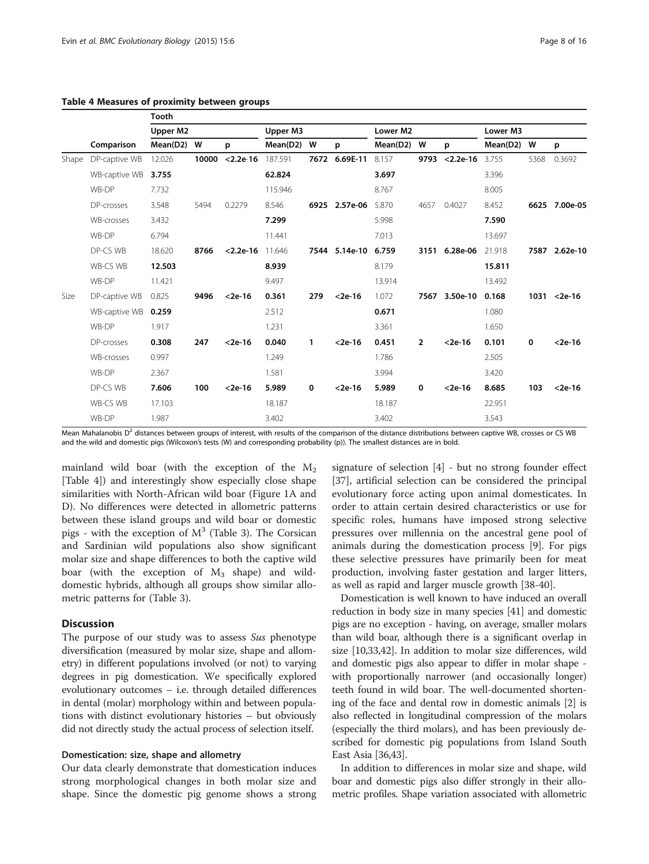|       |               | Tooth    |       |             |          |              |               |          |                |             |          |              |               |
|-------|---------------|----------|-------|-------------|----------|--------------|---------------|----------|----------------|-------------|----------|--------------|---------------|
|       |               | Upper M2 |       |             | Upper M3 |              | Lower M2      |          |                | Lower M3    |          |              |               |
|       | Comparison    | Mean(D2) | W     | p           | Mean(D2) | W            | p             | Mean(D2) | W              | p           | Mean(D2) | W            | p             |
| Shape | DP-captive WB | 12.026   | 10000 | $< 2.2e-16$ | 187.591  | 7672         | 6.69E-11      | 8.157    | 9793           | $< 2.2e-16$ | 3.755    | 5368         | 0.3692        |
|       | WB-captive WB | 3.755    |       |             | 62.824   |              |               | 3.697    |                |             | 3.396    |              |               |
|       | WB-DP         | 7.732    |       |             | 115.946  |              |               | 8.767    |                |             | 8.005    |              |               |
|       | DP-crosses    | 3.548    | 5494  | 0.2279      | 8.546    |              | 6925 2.57e-06 | 5.870    | 4657           | 0.4027      | 8.452    |              | 6625 7.00e-05 |
|       | WB-crosses    | 3.432    |       |             | 7.299    |              |               | 5.998    |                |             | 7.590    |              |               |
|       | WB-DP         | 6.794    |       |             | 11.441   |              |               | 7.013    |                |             | 13.697   |              |               |
|       | DP-CS WB      | 18.620   | 8766  | $< 2.2e-16$ | 11.646   |              | 7544 5.14e-10 | 6.759    | 3151           | 6.28e-06    | 21.918   |              | 7587 2.62e-10 |
|       | WB-CS WB      | 12.503   |       |             | 8.939    |              |               | 8.179    |                |             | 15.811   |              |               |
|       | WB-DP         | 11.421   |       |             | 9.497    |              |               | 13.914   |                |             | 13.492   |              |               |
| Size  | DP-captive WB | 0.825    | 9496  | $<$ 2e-16   | 0.361    | 279          | $<$ 2e-16     | 1.072    | 7567           | 3.50e-10    | 0.168    | 1031         | $<$ 2e-16     |
|       | WB-captive WB | 0.259    |       |             | 2.512    |              |               | 0.671    |                |             | 1.080    |              |               |
|       | WB-DP         | 1.917    |       |             | 1.231    |              |               | 3.361    |                |             | 1.650    |              |               |
|       | DP-crosses    | 0.308    | 247   | $<$ 2e-16   | 0.040    | $\mathbf{1}$ | $<$ 2e-16     | 0.451    | $\overline{2}$ | $<$ 2e-16   | 0.101    | $\mathbf{0}$ | $<$ 2e-16     |
|       | WB-crosses    | 0.997    |       |             | 1.249    |              |               | 1.786    |                |             | 2.505    |              |               |
|       | WB-DP         | 2.367    |       |             | 1.581    |              |               | 3.994    |                |             | 3.420    |              |               |
|       | DP-CS WB      | 7.606    | 100   | $<$ 2e-16   | 5.989    | $\mathbf 0$  | $<$ 2e-16     | 5.989    | $\mathbf 0$    | $<$ 2e-16   | 8.685    | 103          | $2e-16$       |
|       | WB-CS WB      | 17.103   |       |             | 18.187   |              |               | 18.187   |                |             | 22.951   |              |               |
|       | WB-DP         | 1.987    |       |             | 3.402    |              |               | 3.402    |                |             | 3.543    |              |               |

### <span id="page-7-0"></span>Table 4 Measures of proximity between groups

Mean Mahalanobis  $D^2$  distances between groups of interest, with results of the comparison of the distance distributions between captive WB, crosses or CS WB and the wild and domestic pigs (Wilcoxon's tests (W) and corresponding probability (p)). The smallest distances are in bold.

mainland wild boar (with the exception of the  $M_2$ [Table 4]) and interestingly show especially close shape similarities with North-African wild boar (Figure [1](#page-2-0)A and D). No differences were detected in allometric patterns between these island groups and wild boar or domestic pigs - with the exception of  $M<sup>3</sup>$  (Table [3](#page-6-0)). The Corsican and Sardinian wild populations also show significant molar size and shape differences to both the captive wild boar (with the exception of  $M_3$  shape) and wilddomestic hybrids, although all groups show similar allometric patterns for (Table [3\)](#page-6-0).

# **Discussion**

The purpose of our study was to assess Sus phenotype diversification (measured by molar size, shape and allometry) in different populations involved (or not) to varying degrees in pig domestication. We specifically explored evolutionary outcomes – i.e. through detailed differences in dental (molar) morphology within and between populations with distinct evolutionary histories – but obviously did not directly study the actual process of selection itself.

# Domestication: size, shape and allometry

Our data clearly demonstrate that domestication induces strong morphological changes in both molar size and shape. Since the domestic pig genome shows a strong

signature of selection [\[4](#page-13-0)] - but no strong founder effect [[37\]](#page-14-0), artificial selection can be considered the principal evolutionary force acting upon animal domesticates. In order to attain certain desired characteristics or use for specific roles, humans have imposed strong selective pressures over millennia on the ancestral gene pool of animals during the domestication process [\[9](#page-13-0)]. For pigs these selective pressures have primarily been for meat production, involving faster gestation and larger litters, as well as rapid and larger muscle growth [\[38](#page-14-0)-[40\]](#page-14-0).

Domestication is well known to have induced an overall reduction in body size in many species [[41](#page-14-0)] and domestic pigs are no exception - having, on average, smaller molars than wild boar, although there is a significant overlap in size [\[10,](#page-13-0)[33,42](#page-14-0)]. In addition to molar size differences, wild and domestic pigs also appear to differ in molar shape with proportionally narrower (and occasionally longer) teeth found in wild boar. The well-documented shortening of the face and dental row in domestic animals [[2\]](#page-13-0) is also reflected in longitudinal compression of the molars (especially the third molars), and has been previously described for domestic pig populations from Island South East Asia [\[36,43\]](#page-14-0).

In addition to differences in molar size and shape, wild boar and domestic pigs also differ strongly in their allometric profiles. Shape variation associated with allometric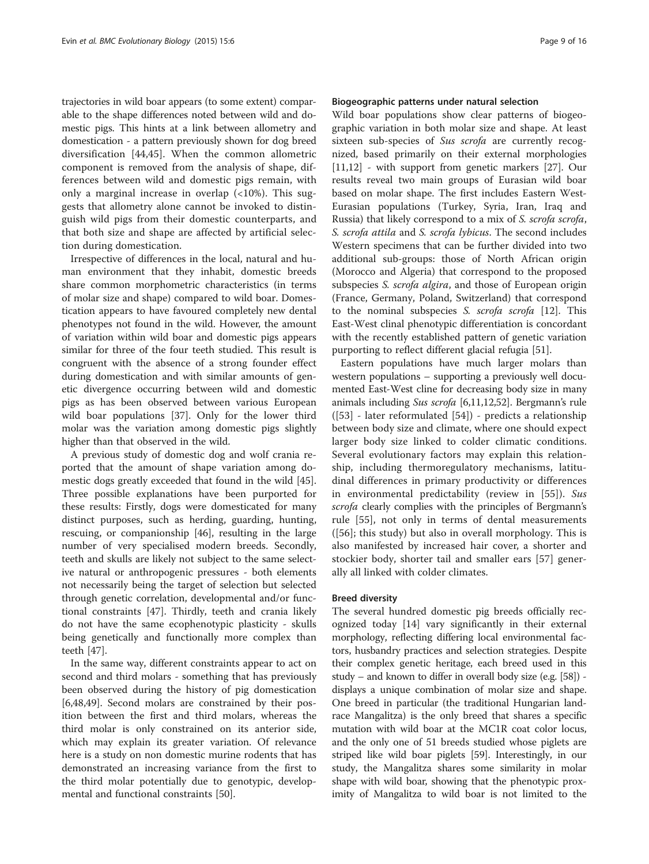trajectories in wild boar appears (to some extent) comparable to the shape differences noted between wild and domestic pigs. This hints at a link between allometry and domestication - a pattern previously shown for dog breed diversification [[44,45](#page-14-0)]. When the common allometric component is removed from the analysis of shape, differences between wild and domestic pigs remain, with only a marginal increase in overlap  $\langle$ <10%). This suggests that allometry alone cannot be invoked to distinguish wild pigs from their domestic counterparts, and that both size and shape are affected by artificial selection during domestication.

Irrespective of differences in the local, natural and human environment that they inhabit, domestic breeds share common morphometric characteristics (in terms of molar size and shape) compared to wild boar. Domestication appears to have favoured completely new dental phenotypes not found in the wild. However, the amount of variation within wild boar and domestic pigs appears similar for three of the four teeth studied. This result is congruent with the absence of a strong founder effect during domestication and with similar amounts of genetic divergence occurring between wild and domestic pigs as has been observed between various European wild boar populations [\[37\]](#page-14-0). Only for the lower third molar was the variation among domestic pigs slightly higher than that observed in the wild.

A previous study of domestic dog and wolf crania reported that the amount of shape variation among domestic dogs greatly exceeded that found in the wild [\[45](#page-14-0)]. Three possible explanations have been purported for these results: Firstly, dogs were domesticated for many distinct purposes, such as herding, guarding, hunting, rescuing, or companionship [\[46](#page-14-0)], resulting in the large number of very specialised modern breeds. Secondly, teeth and skulls are likely not subject to the same selective natural or anthropogenic pressures - both elements not necessarily being the target of selection but selected through genetic correlation, developmental and/or functional constraints [[47](#page-14-0)]. Thirdly, teeth and crania likely do not have the same ecophenotypic plasticity - skulls being genetically and functionally more complex than teeth [\[47](#page-14-0)].

In the same way, different constraints appear to act on second and third molars - something that has previously been observed during the history of pig domestication [[6,](#page-13-0)[48,49\]](#page-14-0). Second molars are constrained by their position between the first and third molars, whereas the third molar is only constrained on its anterior side, which may explain its greater variation. Of relevance here is a study on non domestic murine rodents that has demonstrated an increasing variance from the first to the third molar potentially due to genotypic, developmental and functional constraints [[50\]](#page-14-0).

#### Biogeographic patterns under natural selection

Wild boar populations show clear patterns of biogeographic variation in both molar size and shape. At least sixteen sub-species of Sus scrofa are currently recognized, based primarily on their external morphologies [[11,12\]](#page-13-0) - with support from genetic markers [\[27](#page-14-0)]. Our results reveal two main groups of Eurasian wild boar based on molar shape. The first includes Eastern West-Eurasian populations (Turkey, Syria, Iran, Iraq and Russia) that likely correspond to a mix of S. scrofa scrofa, S. scrofa attila and S. scrofa lybicus. The second includes Western specimens that can be further divided into two additional sub-groups: those of North African origin (Morocco and Algeria) that correspond to the proposed subspecies S. scrofa algira, and those of European origin (France, Germany, Poland, Switzerland) that correspond to the nominal subspecies S. scrofa scrofa [[12](#page-13-0)]. This East-West clinal phenotypic differentiation is concordant with the recently established pattern of genetic variation purporting to reflect different glacial refugia [[51](#page-14-0)].

Eastern populations have much larger molars than western populations – supporting a previously well documented East-West cline for decreasing body size in many animals including Sus scrofa [\[6,11,12](#page-13-0)[,52](#page-14-0)]. Bergmann's rule ([\[53](#page-14-0)] - later reformulated [[54\]](#page-14-0)) - predicts a relationship between body size and climate, where one should expect larger body size linked to colder climatic conditions. Several evolutionary factors may explain this relationship, including thermoregulatory mechanisms, latitudinal differences in primary productivity or differences in environmental predictability (review in [[55\]](#page-14-0)). Sus scrofa clearly complies with the principles of Bergmann's rule [\[55](#page-14-0)], not only in terms of dental measurements ([\[56](#page-14-0)]; this study) but also in overall morphology. This is also manifested by increased hair cover, a shorter and stockier body, shorter tail and smaller ears [[57\]](#page-14-0) generally all linked with colder climates.

#### Breed diversity

The several hundred domestic pig breeds officially recognized today [[14\]](#page-13-0) vary significantly in their external morphology, reflecting differing local environmental factors, husbandry practices and selection strategies. Despite their complex genetic heritage, each breed used in this study – and known to differ in overall body size (e.g. [\[58](#page-14-0)]) displays a unique combination of molar size and shape. One breed in particular (the traditional Hungarian landrace Mangalitza) is the only breed that shares a specific mutation with wild boar at the MC1R coat color locus, and the only one of 51 breeds studied whose piglets are striped like wild boar piglets [\[59\]](#page-14-0). Interestingly, in our study, the Mangalitza shares some similarity in molar shape with wild boar, showing that the phenotypic proximity of Mangalitza to wild boar is not limited to the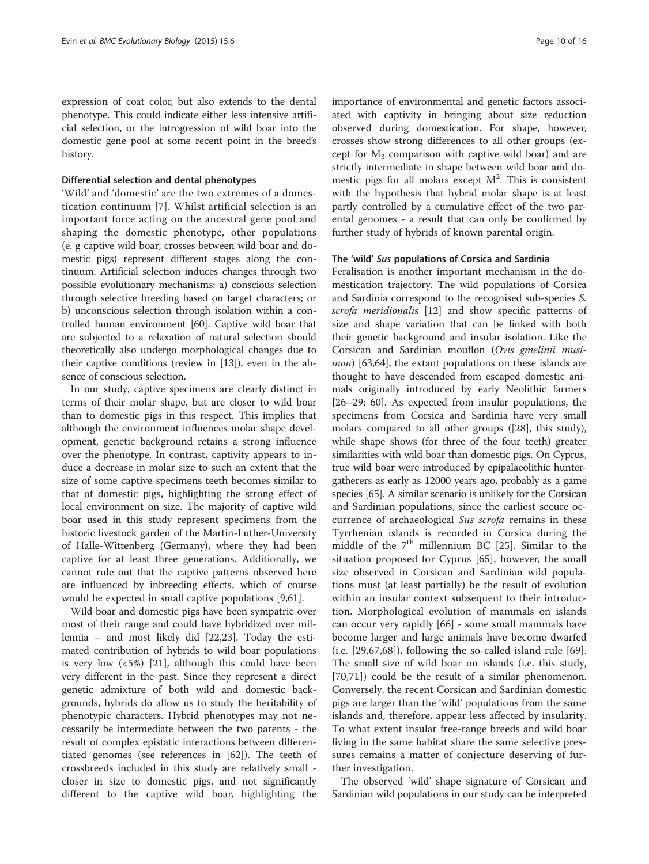expression of coat color, but also extends to the dental phenotype. This could indicate either less intensive artificial selection, or the introgression of wild boar into the domestic gene pool at some recent point in the breed's history.

#### Differential selection and dental phenotypes

'Wild' and 'domestic' are the two extremes of a domestication continuum [[7\]](#page-13-0). Whilst artificial selection is an important force acting on the ancestral gene pool and shaping the domestic phenotype, other populations (e. g captive wild boar; crosses between wild boar and domestic pigs) represent different stages along the continuum. Artificial selection induces changes through two possible evolutionary mechanisms: a) conscious selection through selective breeding based on target characters; or b) unconscious selection through isolation within a controlled human environment [\[60\]](#page-14-0). Captive wild boar that are subjected to a relaxation of natural selection should theoretically also undergo morphological changes due to their captive conditions (review in [\[13\]](#page-13-0)), even in the absence of conscious selection.

In our study, captive specimens are clearly distinct in terms of their molar shape, but are closer to wild boar than to domestic pigs in this respect. This implies that although the environment influences molar shape development, genetic background retains a strong influence over the phenotype. In contrast, captivity appears to induce a decrease in molar size to such an extent that the size of some captive specimens teeth becomes similar to that of domestic pigs, highlighting the strong effect of local environment on size. The majority of captive wild boar used in this study represent specimens from the historic livestock garden of the Martin-Luther-University of Halle-Wittenberg (Germany), where they had been captive for at least three generations. Additionally, we cannot rule out that the captive patterns observed here are influenced by inbreeding effects, which of course would be expected in small captive populations [\[9,](#page-13-0)[61\]](#page-14-0).

Wild boar and domestic pigs have been sympatric over most of their range and could have hybridized over millennia – and most likely did [[22](#page-13-0),[23](#page-13-0)]. Today the estimated contribution of hybrids to wild boar populations is very low (<5%) [\[21](#page-13-0)], although this could have been very different in the past. Since they represent a direct genetic admixture of both wild and domestic backgrounds, hybrids do allow us to study the heritability of phenotypic characters. Hybrid phenotypes may not necessarily be intermediate between the two parents - the result of complex epistatic interactions between differentiated genomes (see references in [\[62](#page-14-0)]). The teeth of crossbreeds included in this study are relatively small closer in size to domestic pigs, and not significantly different to the captive wild boar, highlighting the importance of environmental and genetic factors associated with captivity in bringing about size reduction observed during domestication. For shape, however, crosses show strong differences to all other groups (except for  $M_3$  comparison with captive wild boar) and are strictly intermediate in shape between wild boar and domestic pigs for all molars except  $M^2$ . This is consistent with the hypothesis that hybrid molar shape is at least partly controlled by a cumulative effect of the two parental genomes - a result that can only be confirmed by further study of hybrids of known parental origin.

#### The 'wild' Sus populations of Corsica and Sardinia

Feralisation is another important mechanism in the domestication trajectory. The wild populations of Corsica and Sardinia correspond to the recognised sub-species S. scrofa meridionalis [[12\]](#page-13-0) and show specific patterns of size and shape variation that can be linked with both their genetic background and insular isolation. Like the Corsican and Sardinian mouflon (Ovis gmelinii musi-mon) [\[63,64\]](#page-14-0), the extant populations on these islands are thought to have descended from escaped domestic animals originally introduced by early Neolithic farmers [26–29; 60]. As expected from insular populations, the specimens from Corsica and Sardinia have very small molars compared to all other groups ([[28\]](#page-14-0), this study), while shape shows (for three of the four teeth) greater similarities with wild boar than domestic pigs. On Cyprus, true wild boar were introduced by epipalaeolithic huntergatherers as early as 12000 years ago, probably as a game species [\[65](#page-14-0)]. A similar scenario is unlikely for the Corsican and Sardinian populations, since the earliest secure occurrence of archaeological Sus scrofa remains in these Tyrrhenian islands is recorded in Corsica during the middle of the  $7<sup>th</sup>$  millennium BC [\[25](#page-14-0)]. Similar to the situation proposed for Cyprus [[65\]](#page-14-0), however, the small size observed in Corsican and Sardinian wild populations must (at least partially) be the result of evolution within an insular context subsequent to their introduction. Morphological evolution of mammals on islands can occur very rapidly [[66\]](#page-14-0) - some small mammals have become larger and large animals have become dwarfed (i.e. [\[29](#page-14-0),[67,68\]](#page-14-0)), following the so-called island rule [\[69](#page-14-0)]. The small size of wild boar on islands (i.e. this study, [[70,71](#page-14-0)]) could be the result of a similar phenomenon. Conversely, the recent Corsican and Sardinian domestic pigs are larger than the 'wild' populations from the same islands and, therefore, appear less affected by insularity. To what extent insular free-range breeds and wild boar living in the same habitat share the same selective pressures remains a matter of conjecture deserving of further investigation.

The observed 'wild' shape signature of Corsican and Sardinian wild populations in our study can be interpreted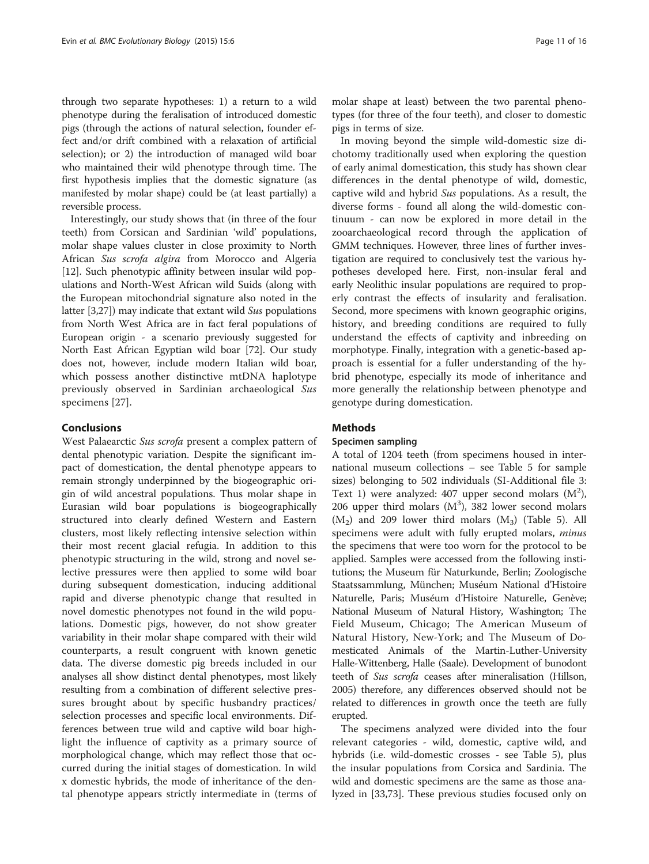through two separate hypotheses: 1) a return to a wild phenotype during the feralisation of introduced domestic pigs (through the actions of natural selection, founder effect and/or drift combined with a relaxation of artificial selection); or 2) the introduction of managed wild boar who maintained their wild phenotype through time. The first hypothesis implies that the domestic signature (as manifested by molar shape) could be (at least partially) a reversible process.

Interestingly, our study shows that (in three of the four teeth) from Corsican and Sardinian 'wild' populations, molar shape values cluster in close proximity to North African Sus scrofa algira from Morocco and Algeria [[12\]](#page-13-0). Such phenotypic affinity between insular wild populations and North-West African wild Suids (along with the European mitochondrial signature also noted in the latter [\[3](#page-13-0)[,27\]](#page-14-0)) may indicate that extant wild Sus populations from North West Africa are in fact feral populations of European origin - a scenario previously suggested for North East African Egyptian wild boar [\[72](#page-14-0)]. Our study does not, however, include modern Italian wild boar, which possess another distinctive mtDNA haplotype previously observed in Sardinian archaeological Sus specimens [[27\]](#page-14-0).

#### Conclusions

West Palaearctic Sus scrofa present a complex pattern of dental phenotypic variation. Despite the significant impact of domestication, the dental phenotype appears to remain strongly underpinned by the biogeographic origin of wild ancestral populations. Thus molar shape in Eurasian wild boar populations is biogeographically structured into clearly defined Western and Eastern clusters, most likely reflecting intensive selection within their most recent glacial refugia. In addition to this phenotypic structuring in the wild, strong and novel selective pressures were then applied to some wild boar during subsequent domestication, inducing additional rapid and diverse phenotypic change that resulted in novel domestic phenotypes not found in the wild populations. Domestic pigs, however, do not show greater variability in their molar shape compared with their wild counterparts, a result congruent with known genetic data. The diverse domestic pig breeds included in our analyses all show distinct dental phenotypes, most likely resulting from a combination of different selective pressures brought about by specific husbandry practices/ selection processes and specific local environments. Differences between true wild and captive wild boar highlight the influence of captivity as a primary source of morphological change, which may reflect those that occurred during the initial stages of domestication. In wild x domestic hybrids, the mode of inheritance of the dental phenotype appears strictly intermediate in (terms of molar shape at least) between the two parental phenotypes (for three of the four teeth), and closer to domestic pigs in terms of size.

In moving beyond the simple wild-domestic size dichotomy traditionally used when exploring the question of early animal domestication, this study has shown clear differences in the dental phenotype of wild, domestic, captive wild and hybrid Sus populations. As a result, the diverse forms - found all along the wild-domestic continuum - can now be explored in more detail in the zooarchaeological record through the application of GMM techniques. However, three lines of further investigation are required to conclusively test the various hypotheses developed here. First, non-insular feral and early Neolithic insular populations are required to properly contrast the effects of insularity and feralisation. Second, more specimens with known geographic origins, history, and breeding conditions are required to fully understand the effects of captivity and inbreeding on morphotype. Finally, integration with a genetic-based approach is essential for a fuller understanding of the hybrid phenotype, especially its mode of inheritance and more generally the relationship between phenotype and genotype during domestication.

#### Methods

#### Specimen sampling

A total of 1204 teeth (from specimens housed in international museum collections – see Table [5](#page-11-0) for sample sizes) belonging to 502 individuals (SI-Additional file [3](#page-13-0): Text 1) were analyzed: 407 upper second molars  $(M^2)$ , 206 upper third molars  $(M^3)$ , 382 lower second molars  $(M_2)$  and 209 lower third molars  $(M_3)$  (Table [5\)](#page-11-0). All specimens were adult with fully erupted molars, minus the specimens that were too worn for the protocol to be applied. Samples were accessed from the following institutions; the Museum für Naturkunde, Berlin; Zoologische Staatssammlung, München; Muséum National d'Histoire Naturelle, Paris; Muséum d'Histoire Naturelle, Genève; National Museum of Natural History, Washington; The Field Museum, Chicago; The American Museum of Natural History, New-York; and The Museum of Domesticated Animals of the Martin-Luther-University Halle-Wittenberg, Halle (Saale). Development of bunodont teeth of Sus scrofa ceases after mineralisation (Hillson, 2005) therefore, any differences observed should not be related to differences in growth once the teeth are fully erupted.

The specimens analyzed were divided into the four relevant categories - wild, domestic, captive wild, and hybrids (i.e. wild-domestic crosses - see Table [5\)](#page-11-0), plus the insular populations from Corsica and Sardinia. The wild and domestic specimens are the same as those analyzed in [[33,73\]](#page-14-0). These previous studies focused only on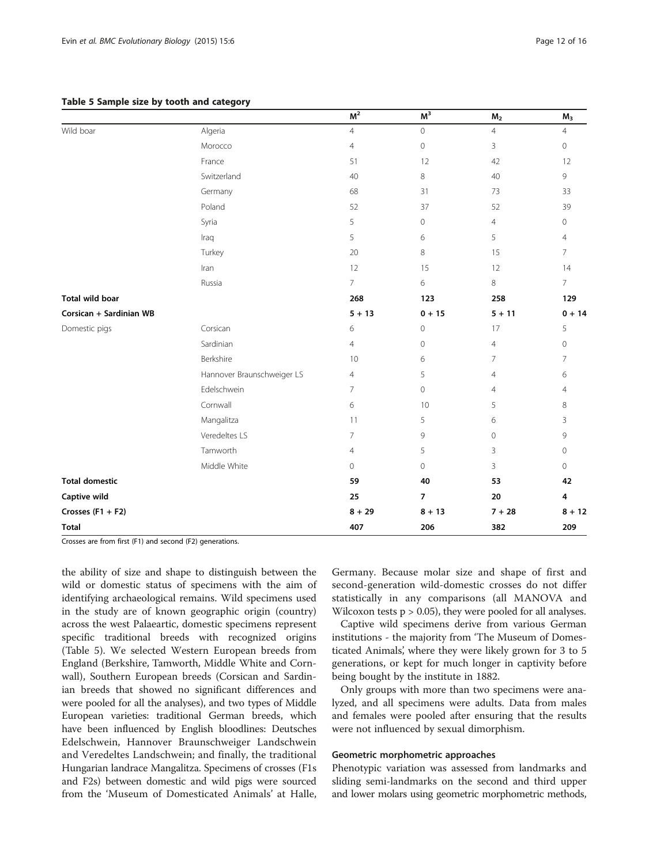#### <span id="page-11-0"></span>Table 5 Sample size by tooth and category

|                         |                            | $\mathsf{M}^2$      | $\mathsf{M}^3$ | M <sub>2</sub> | $\mathsf{M}_3$ |
|-------------------------|----------------------------|---------------------|----------------|----------------|----------------|
| Wild boar               | Algeria                    | $\overline{4}$      | $\circ$        | $\overline{4}$ | $\overline{4}$ |
|                         | Morocco                    | $\overline{4}$      | $\mathbf 0$    | 3              | 0              |
|                         | France                     | 51                  | 12             | 42             | 12             |
|                         | Switzerland                | 40                  | $\,8\,$        | 40             | 9              |
|                         | Germany                    | 68                  | 31             | 73             | 33             |
|                         | Poland                     | 52                  | 37             | 52             | 39             |
|                         | Syria                      | 5                   | $\mathbf 0$    | $\overline{4}$ | 0              |
|                         | Iraq                       | 5                   | 6              | 5              | $\overline{4}$ |
|                         | Turkey                     | 20                  | 8              | 15             | $\overline{7}$ |
|                         | Iran                       | 12                  | 15             | 12             | 14             |
|                         | Russia                     | $\overline{7}$      | 6              | $\,8\,$        | $\overline{7}$ |
| <b>Total wild boar</b>  |                            | 268                 | 123            | 258            | 129            |
| Corsican + Sardinian WB |                            | $5 + 13$            | $0 + 15$       | $5 + 11$       | $0 + 14$       |
| Domestic pigs           | Corsican                   | 6                   | $\circ$        | 17             | 5              |
|                         | Sardinian                  | $\overline{4}$      | $\circ$        | 4              | 0              |
|                         | Berkshire                  | 10                  | 6              | $\overline{7}$ | $\overline{7}$ |
|                         | Hannover Braunschweiger LS | $\overline{4}$      | 5              | $\overline{4}$ | 6              |
|                         | Edelschwein                | $\overline{7}$      | $\mathbf 0$    | 4              | 4              |
|                         | Cornwall                   | 6                   | 10             | 5              | 8              |
|                         | Mangalitza                 | 11                  | 5              | 6              | 3              |
|                         | Veredeltes LS              | 7                   | 9              | $\mathbf 0$    | 9              |
|                         | Tamworth                   | $\overline{4}$      | 5              | 3              | 0              |
|                         | Middle White               | $\mathsf{O}\xspace$ | $\mathbb O$    | 3              | 0              |
| <b>Total domestic</b>   |                            | 59                  | 40             | 53             | 42             |
| Captive wild            |                            | 25                  | $\overline{7}$ | 20             | 4              |
| Crosses $(F1 + F2)$     |                            | $8 + 29$            | $8 + 13$       | $7 + 28$       | $8 + 12$       |
| <b>Total</b>            |                            | 407                 | 206            | 382            | 209            |

Crosses are from first (F1) and second (F2) generations.

the ability of size and shape to distinguish between the wild or domestic status of specimens with the aim of identifying archaeological remains. Wild specimens used in the study are of known geographic origin (country) across the west Palaeartic, domestic specimens represent specific traditional breeds with recognized origins (Table 5). We selected Western European breeds from England (Berkshire, Tamworth, Middle White and Cornwall), Southern European breeds (Corsican and Sardinian breeds that showed no significant differences and were pooled for all the analyses), and two types of Middle European varieties: traditional German breeds, which have been influenced by English bloodlines: Deutsches Edelschwein, Hannover Braunschweiger Landschwein and Veredeltes Landschwein; and finally, the traditional Hungarian landrace Mangalitza. Specimens of crosses (F1s and F2s) between domestic and wild pigs were sourced from the 'Museum of Domesticated Animals' at Halle,

Germany. Because molar size and shape of first and second-generation wild-domestic crosses do not differ statistically in any comparisons (all MANOVA and Wilcoxon tests  $p > 0.05$ ), they were pooled for all analyses.

Captive wild specimens derive from various German institutions - the majority from 'The Museum of Domesticated Animals', where they were likely grown for 3 to 5 generations, or kept for much longer in captivity before being bought by the institute in 1882.

Only groups with more than two specimens were analyzed, and all specimens were adults. Data from males and females were pooled after ensuring that the results were not influenced by sexual dimorphism.

## Geometric morphometric approaches

Phenotypic variation was assessed from landmarks and sliding semi-landmarks on the second and third upper and lower molars using geometric morphometric methods,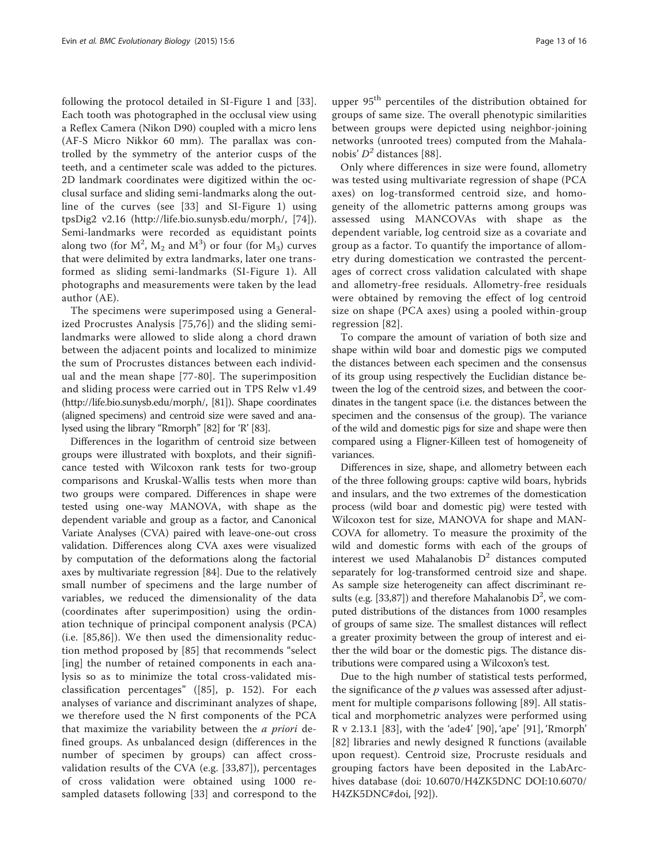following the protocol detailed in SI-Figure [1](#page-2-0) and [\[33](#page-14-0)]. Each tooth was photographed in the occlusal view using a Reflex Camera (Nikon D90) coupled with a micro lens (AF-S Micro Nikkor 60 mm). The parallax was controlled by the symmetry of the anterior cusps of the teeth, and a centimeter scale was added to the pictures. 2D landmark coordinates were digitized within the occlusal surface and sliding semi-landmarks along the outline of the curves (see [\[33](#page-14-0)] and SI-Figure [1](#page-2-0)) using tpsDig2 v2.16 (http://life.bio.sunysb.edu/morph/, [[74\]](#page-14-0)). Semi-landmarks were recorded as equidistant points along two (for  $\rm M^2$ ,  $\rm M_2$  and  $\rm M^3)$  or four (for  $\rm M_3)$  curves that were delimited by extra landmarks, later one transformed as sliding semi-landmarks (SI-Figure [1\)](#page-2-0). All photographs and measurements were taken by the lead author (AE).

The specimens were superimposed using a Generalized Procrustes Analysis [\[75,](#page-14-0)[76](#page-15-0)]) and the sliding semilandmarks were allowed to slide along a chord drawn between the adjacent points and localized to minimize the sum of Procrustes distances between each individual and the mean shape [[77-80\]](#page-15-0). The superimposition and sliding process were carried out in TPS Relw v1.49 (http://life.bio.sunysb.edu/morph/, [\[81\]](#page-15-0)). Shape coordinates (aligned specimens) and centroid size were saved and analysed using the library "Rmorph" [[82](#page-15-0)] for 'R' [[83](#page-15-0)].

Differences in the logarithm of centroid size between groups were illustrated with boxplots, and their significance tested with Wilcoxon rank tests for two-group comparisons and Kruskal-Wallis tests when more than two groups were compared. Differences in shape were tested using one-way MANOVA, with shape as the dependent variable and group as a factor, and Canonical Variate Analyses (CVA) paired with leave-one-out cross validation. Differences along CVA axes were visualized by computation of the deformations along the factorial axes by multivariate regression [[84\]](#page-15-0). Due to the relatively small number of specimens and the large number of variables, we reduced the dimensionality of the data (coordinates after superimposition) using the ordination technique of principal component analysis (PCA) (i.e. [\[85](#page-15-0),[86\]](#page-15-0)). We then used the dimensionality reduction method proposed by [[85](#page-15-0)] that recommends "select [ing] the number of retained components in each analysis so as to minimize the total cross-validated misclassification percentages" ([\[85\]](#page-15-0), p. 152). For each analyses of variance and discriminant analyzes of shape, we therefore used the N first components of the PCA that maximize the variability between the *a priori* defined groups. As unbalanced design (differences in the number of specimen by groups) can affect crossvalidation results of the CVA (e.g. [[33](#page-14-0)[,87](#page-15-0)]), percentages of cross validation were obtained using 1000 resampled datasets following [[33](#page-14-0)] and correspond to the

upper  $95<sup>th</sup>$  percentiles of the distribution obtained for groups of same size. The overall phenotypic similarities between groups were depicted using neighbor-joining networks (unrooted trees) computed from the Mahalanobis'  $D^2$  distances [[88\]](#page-15-0).

Only where differences in size were found, allometry was tested using multivariate regression of shape (PCA axes) on log-transformed centroid size, and homogeneity of the allometric patterns among groups was assessed using MANCOVAs with shape as the dependent variable, log centroid size as a covariate and group as a factor. To quantify the importance of allometry during domestication we contrasted the percentages of correct cross validation calculated with shape and allometry-free residuals. Allometry-free residuals were obtained by removing the effect of log centroid size on shape (PCA axes) using a pooled within-group regression [[82](#page-15-0)].

To compare the amount of variation of both size and shape within wild boar and domestic pigs we computed the distances between each specimen and the consensus of its group using respectively the Euclidian distance between the log of the centroid sizes, and between the coordinates in the tangent space (i.e. the distances between the specimen and the consensus of the group). The variance of the wild and domestic pigs for size and shape were then compared using a Fligner-Killeen test of homogeneity of variances.

Differences in size, shape, and allometry between each of the three following groups: captive wild boars, hybrids and insulars, and the two extremes of the domestication process (wild boar and domestic pig) were tested with Wilcoxon test for size, MANOVA for shape and MAN-COVA for allometry. To measure the proximity of the wild and domestic forms with each of the groups of interest we used Mahalanobis  $D^2$  distances computed separately for log-transformed centroid size and shape. As sample size heterogeneity can affect discriminant re-sults (e.g. [[33](#page-14-0)[,87\]](#page-15-0)) and therefore Mahalanobis  $D^2$ , we computed distributions of the distances from 1000 resamples of groups of same size. The smallest distances will reflect a greater proximity between the group of interest and either the wild boar or the domestic pigs. The distance distributions were compared using a Wilcoxon's test.

Due to the high number of statistical tests performed, the significance of the  $p$  values was assessed after adjustment for multiple comparisons following [\[89](#page-15-0)]. All statistical and morphometric analyzes were performed using R v 2.13.1 [[83\]](#page-15-0), with the 'ade4' [[90\]](#page-15-0), 'ape' [\[91](#page-15-0)], 'Rmorph' [[82](#page-15-0)] libraries and newly designed R functions (available upon request). Centroid size, Procruste residuals and grouping factors have been deposited in the LabArchives database (doi: 10.6070/H4ZK5DNC DOI:10.6070/ H4ZK5DNC#doi, [\[92](#page-15-0)]).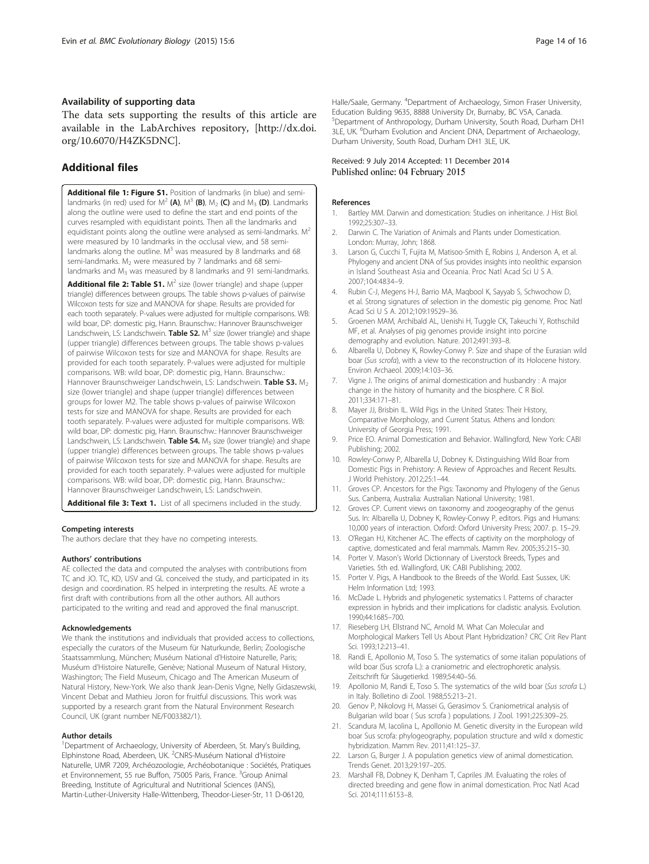#### <span id="page-13-0"></span>Availability of supporting data

The data sets supporting the results of this article are available in the LabArchives repository, [\[http://dx.doi.](http://dx.doi.org/10.6070/H4ZK5DNC) [org/10.6070/H4ZK5DNC](http://dx.doi.org/10.6070/H4ZK5DNC)].

# Additional files

[Additional file 1: Figure S1.](http://www.biomedcentral.com/content/supplementary/s12862-014-0269-x-s1.pdf) Position of landmarks (in blue) and semilandmarks (in red) used for  $M^2$  (A),  $M^3$  (B),  $M_2$  (C) and  $M_3$  (D). Landmarks along the outline were used to define the start and end points of the curves resampled with equidistant points. Then all the landmarks and equidistant points along the outline were analysed as semi-landmarks.  $M^2$ were measured by 10 landmarks in the occlusal view, and 58 semilandmarks along the outline.  $M^3$  was measured by 8 landmarks and 68 semi-landmarks.  $M_2$  were measured by 7 landmarks and 68 semilandmarks and M<sub>3</sub> was measured by 8 landmarks and 91 semi-landmarks.

**[Additional file 2: Table S1.](http://www.biomedcentral.com/content/supplementary/s12862-014-0269-x-s2.xlsx)**  $M^2$  size (lower triangle) and shape (upper triangle) differences between groups. The table shows p-values of pairwise Wilcoxon tests for size and MANOVA for shape. Results are provided for each tooth separately. P-values were adjusted for multiple comparisons. WB: wild boar, DP: domestic pig, Hann. Braunschw.: Hannover Braunschweiger Landschwein, LS: Landschwein. Table S2.  $M<sup>3</sup>$  size (lower triangle) and shape (upper triangle) differences between groups. The table shows p-values of pairwise Wilcoxon tests for size and MANOVA for shape. Results are provided for each tooth separately. P-values were adjusted for multiple comparisons. WB: wild boar, DP: domestic pig, Hann. Braunschw.: Hannover Braunschweiger Landschwein, LS: Landschwein. Table S3. M<sub>2</sub> size (lower triangle) and shape (upper triangle) differences between groups for lower M2. The table shows p-values of pairwise Wilcoxon tests for size and MANOVA for shape. Results are provided for each tooth separately. P-values were adjusted for multiple comparisons. WB: wild boar, DP: domestic pig, Hann. Braunschw.: Hannover Braunschweiger Landschwein, LS: Landschwein. Table S4. M<sub>3</sub> size (lower triangle) and shape (upper triangle) differences between groups. The table shows p-values of pairwise Wilcoxon tests for size and MANOVA for shape. Results are provided for each tooth separately. P-values were adjusted for multiple comparisons. WB: wild boar, DP: domestic pig, Hann. Braunschw.: Hannover Braunschweiger Landschwein, LS: Landschwein.

[Additional file 3: Text 1.](http://www.biomedcentral.com/content/supplementary/s12862-014-0269-x-s3.docx) List of all specimens included in the study.

#### Competing interests

The authors declare that they have no competing interests.

#### Authors' contributions

AE collected the data and computed the analyses with contributions from TC and JO. TC, KD, USV and GL conceived the study, and participated in its design and coordination. RS helped in interpreting the results. AE wrote a first draft with contributions from all the other authors. All authors participated to the writing and read and approved the final manuscript.

#### Acknowledgements

We thank the institutions and individuals that provided access to collections, especially the curators of the Museum für Naturkunde, Berlin; Zoologische Staatssammlung, München; Muséum National d'Histoire Naturelle, Paris; Muséum d'Histoire Naturelle, Genève; National Museum of Natural History, Washington; The Field Museum, Chicago and The American Museum of Natural History, New-York. We also thank Jean-Denis Vigne, Nelly Gidaszewski, Vincent Debat and Mathieu Joron for fruitful discussions. This work was supported by a research grant from the Natural Environment Research Council, UK (grant number NE/F003382/1).

#### Author details

<sup>1</sup>Department of Archaeology, University of Aberdeen, St. Mary's Building, Elphinstone Road, Aberdeen, UK. <sup>2</sup>CNRS-Muséum National d'Histoire Naturelle, UMR 7209, Archéozoologie, Archéobotanique : Sociétés, Pratiques et Environnement, 55 rue Buffon, 75005 Paris, France. <sup>3</sup>Group Animal Breeding, Institute of Agricultural and Nutritional Sciences (IANS), Martin-Luther-University Halle-Wittenberg, Theodor-Lieser-Str, 11 D-06120,

Halle/Saale, Germany. <sup>4</sup>Department of Archaeology, Simon Fraser University Education Bulding 9635, 8888 University Dr, Burnaby, BC V5A, Canada. 5 Department of Anthropology, Durham University, South Road, Durham DH1 3LE, UK. <sup>6</sup>Durham Evolution and Ancient DNA, Department of Archaeology, Durham University, South Road, Durham DH1 3LE, UK.

#### Received: 9 July 2014 Accepted: 11 December 2014 Published online: 04 February 2015

#### References

- 1. Bartley MM. Darwin and domestication: Studies on inheritance. J Hist Biol. 1992;25:307–33.
- 2. Darwin C. The Variation of Animals and Plants under Domestication. London: Murray, John; 1868.
- 3. Larson G, Cucchi T, Fujita M, Matisoo-Smith E, Robins J, Anderson A, et al. Phylogeny and ancient DNA of Sus provides insights into neolithic expansion in Island Southeast Asia and Oceania. Proc Natl Acad Sci U S A. 2007;104:4834–9.
- 4. Rubin C-J, Megens H-J, Barrio MA, Maqbool K, Sayyab S, Schwochow D, et al. Strong signatures of selection in the domestic pig genome. Proc Natl Acad Sci U S A. 2012;109:19529–36.
- 5. Groenen MAM, Archibald AL, Uenishi H, Tuggle CK, Takeuchi Y, Rothschild MF, et al. Analyses of pig genomes provide insight into porcine demography and evolution. Nature. 2012;491:393–8.
- 6. Albarella U, Dobney K, Rowley-Conwy P. Size and shape of the Eurasian wild boar (Sus scrofa), with a view to the reconstruction of its Holocene history. Environ Archaeol. 2009;14:103–36.
- 7. Vigne J. The origins of animal domestication and husbandry : A major change in the history of humanity and the biosphere. C R Biol. 2011;334:171–81.
- 8. Mayer JJ, Brisbin IL. Wild Pigs in the United States: Their History, Comparative Morphology, and Current Status. Athens and london: University of Georgia Press; 1991.
- 9. Price EO. Animal Domestication and Behavior. Wallingford, New York: CABI Publishing; 2002.
- 10. Rowley-Conwy P, Albarella U, Dobney K. Distinguishing Wild Boar from Domestic Pigs in Prehistory: A Review of Approaches and Recent Results. J World Prehistory. 2012;25:1–44.
- 11. Groves CP. Ancestors for the Pigs: Taxonomy and Phylogeny of the Genus Sus. Canberra, Australia: Australian National University; 1981.
- 12. Groves CP. Current views on taxonomy and zoogeography of the genus Sus. In: Albarella U, Dobney K, Rowley-Conwy P, editors. Pigs and Humans: 10,000 years of interaction. Oxford: Oxford University Press; 2007. p. 15–29.
- 13. O'Regan HJ, Kitchener AC. The effects of captivity on the morphology of captive, domesticated and feral mammals. Mamm Rev. 2005;35:215–30.
- 14. Porter V. Mason's World Dictionnary of Liverstock Breeds, Types and Varieties. 5th ed. Wallingford, UK: CABI Publishing; 2002.
- 15. Porter V. Pigs, A Handbook to the Breeds of the World. East Sussex, UK: Helm Information Ltd; 1993.
- 16. McDade L. Hybrids and phylogenetic systematics I. Patterns of character expression in hybrids and their implications for cladistic analysis. Evolution. 1990;44:1685–700.
- 17. Rieseberg LH, Ellstrand NC, Arnold M. What Can Molecular and Morphological Markers Tell Us About Plant Hybridization? CRC Crit Rev Plant Sci. 1993;12:213–41.
- 18. Randi E, Apollonio M, Toso S. The systematics of some italian populations of wild boar (Sus scrofa L.): a craniometric and electrophoretic analysis. Zeitschrift für Säugetierkd. 1989;54:40–56.
- 19. Apollonio M, Randi E, Toso S. The systematics of the wild boar (Sus scrofa L.) in Italy. Bolletino di Zool. 1988;55:213–21.
- 20. Genov P, Nikolovg H, Massei G, Gerasimov S. Craniometrical analysis of Bulgarian wild boar ( Sus scrofa ) populations. J Zool. 1991;225:309–25.
- 21. Scandura M, Iacolina L, Apollonio M. Genetic diversity in the European wild boar Sus scrofa: phylogeography, population structure and wild x domestic hybridization. Mamm Rev. 2011;41:125–37.
- 22. Larson G, Burger J. A population genetics view of animal domestication. Trends Genet. 2013;29:197–205.
- 23. Marshall FB, Dobney K, Denham T, Capriles JM. Evaluating the roles of directed breeding and gene flow in animal domestication. Proc Natl Acad Sci. 2014;111:6153–8.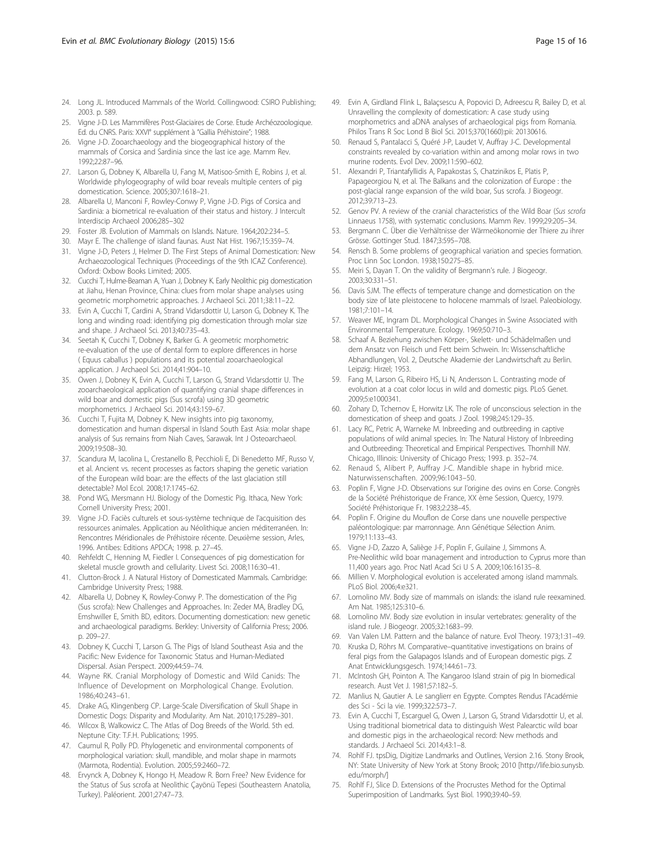- <span id="page-14-0"></span>24. Long JL. Introduced Mammals of the World. Collingwood: CSIRO Publishing; 2003. p. 589.
- 25. Vigne J-D. Les Mammifères Post-Glaciaires de Corse. Etude Archéozoologique. Ed. du CNRS. Paris: XXVI° supplément à "Gallia Préhistoire"; 1988.
- 26. Vigne J-D. Zooarchaeology and the biogeographical history of the mammals of Corsica and Sardinia since the last ice age. Mamm Rev. 1992;22:87–96.
- 27. Larson G, Dobney K, Albarella U, Fang M, Matisoo-Smith E, Robins J, et al. Worldwide phylogeography of wild boar reveals multiple centers of pig domestication. Science. 2005;307:1618–21.
- 28. Albarella U, Manconi F, Rowley-Conwy P, Vigne J-D. Pigs of Corsica and Sardinia: a biometrical re-evaluation of their status and history. J Intercult Interdiscip Archaeol 2006;285–302
- 29. Foster JB. Evolution of Mammals on Islands. Nature. 1964;202:234–5.
- 30. Mayr E. The challenge of island faunas. Aust Nat Hist. 1967;15:359–74.
- 31. Vigne J-D, Peters J, Helmer D. The First Steps of Animal Domestication: New Archaeozoological Techniques (Proceedings of the 9th ICAZ Conference). Oxford: Oxbow Books Limited; 2005.
- 32. Cucchi T, Hulme-Beaman A, Yuan J, Dobney K. Early Neolithic pig domestication at Jiahu, Henan Province, China: clues from molar shape analyses using geometric morphometric approaches. J Archaeol Sci. 2011;38:11–22.
- 33. Evin A, Cucchi T, Cardini A, Strand Vidarsdottir U, Larson G, Dobney K. The long and winding road: identifying pig domestication through molar size and shape. J Archaeol Sci. 2013;40:735–43.
- 34. Seetah K, Cucchi T, Dobney K, Barker G. A geometric morphometric re-evaluation of the use of dental form to explore differences in horse ( Equus caballus ) populations and its potential zooarchaeological application. J Archaeol Sci. 2014;41:904–10.
- 35. Owen J, Dobney K, Evin A, Cucchi T, Larson G, Strand Vidarsdottir U. The zooarchaeological application of quantifying cranial shape differences in wild boar and domestic pigs (Sus scrofa) using 3D geometric morphometrics. J Archaeol Sci. 2014;43:159–67.
- 36. Cucchi T, Fujita M, Dobney K. New insights into pig taxonomy, domestication and human dispersal in Island South East Asia: molar shape analysis of Sus remains from Niah Caves, Sarawak. Int J Osteoarchaeol. 2009;19:508–30.
- 37. Scandura M, Iacolina L, Crestanello B, Pecchioli E, Di Benedetto MF, Russo V, et al. Ancient vs. recent processes as factors shaping the genetic variation of the European wild boar: are the effects of the last glaciation still detectable? Mol Ecol. 2008;17:1745–62.
- 38. Pond WG, Mersmann HJ. Biology of the Domestic Pig. Ithaca, New York: Cornell University Press; 2001.
- 39. Vigne J-D. Faciès culturels et sous-système technique de l'acquisition des ressources animales. Application au Néolithique ancien méditerranéen. In: Rencontres Méridionales de Préhistoire récente. Deuxième session, Arles, 1996. Antibes: Editions APDCA; 1998. p. 27–45.
- 40. Rehfeldt C, Henning M, Fiedler I. Consequences of pig domestication for skeletal muscle growth and cellularity. Livest Sci. 2008;116:30–41.
- 41. Clutton-Brock J. A Natural History of Domesticated Mammals. Cambridge: Cambridge University Press; 1988.
- 42. Albarella U, Dobney K, Rowley-Conwy P. The domestication of the Pig (Sus scrofa): New Challenges and Approaches. In: Zeder MA, Bradley DG, Emshwiller E, Smith BD, editors. Documenting domestication: new genetic and archaeological paradigms. Berkley: University of California Press; 2006. p. 209–27.
- 43. Dobney K, Cucchi T, Larson G. The Pigs of Island Southeast Asia and the Pacific: New Evidence for Taxonomic Status and Human-Mediated Dispersal. Asian Perspect. 2009;44:59–74.
- 44. Wayne RK. Cranial Morphology of Domestic and Wild Canids: The Influence of Development on Morphological Change. Evolution. 1986;40:243–61.
- 45. Drake AG, Klingenberg CP. Large-Scale Diversification of Skull Shape in Domestic Dogs: Disparity and Modularity. Am Nat. 2010;175:289–301.
- 46. Wilcox B, Walkowicz C. The Atlas of Dog Breeds of the World. 5th ed. Neptune City: T.F.H. Publications; 1995.
- 47. Caumul R, Polly PD. Phylogenetic and environmental components of morphological variation: skull, mandible, and molar shape in marmots (Marmota, Rodentia). Evolution. 2005;59:2460–72.
- 48. Ervynck A, Dobney K, Hongo H, Meadow R. Born Free? New Evidence for the Status of Sus scrofa at Neolithic Çayönü Tepesi (Southeastern Anatolia, Turkey). Paléorient. 2001;27:47–73.
- 49. Evin A, Girdland Flink L, Balaçsescu A, Popovici D, Adreescu R, Bailey D, et al. Unravelling the complexity of domestication: A case study using morphometrics and aDNA analyses of archaeological pigs from Romania. Philos Trans R Soc Lond B Biol Sci. 2015;370(1660):pii: 20130616.
- 50. Renaud S, Pantalacci S, Quéré J-P, Laudet V, Auffray J-C. Developmental constraints revealed by co-variation within and among molar rows in two murine rodents. Evol Dev. 2009;11:590–602.
- 51. Alexandri P, Triantafyllidis A, Papakostas S, Chatzinikos E, Platis P, Papageorgiou N, et al. The Balkans and the colonization of Europe : the post-glacial range expansion of the wild boar, Sus scrofa. J Biogeogr. 2012;39:713–23.
- 52. Genov PV. A review of the cranial characteristics of the Wild Boar (Sus scrofa Linnaeus 1758), with systematic conclusions. Mamm Rev. 1999;29:205–34.
- 53. Bergmann C. Über die Verhältnisse der Wärmeökonomie der Thiere zu ihrer Grösse. Gottinger Stud. 1847;3:595–708.
- 54. Rensch B. Some problems of geographical variation and species formation. Proc Linn Soc London. 1938;150:275–85.
- 55. Meiri S, Dayan T. On the validity of Bergmann's rule. J Biogeogr. 2003;30:331–51.
- 56. Davis SJM. The effects of temperature change and domestication on the body size of late pleistocene to holocene mammals of Israel. Paleobiology. 1981;7:101–14.
- 57. Weaver ME, Ingram DL. Morphological Changes in Swine Associated with Environmental Temperature. Ecology. 1969;50:710–3.
- 58. Schaaf A. Beziehung zwischen Körper-, Skelett- und Schädelmaßen und dem Ansatz von Fleisch und Fett beim Schwein. In: Wissenschaftliche Abhandlungen, Vol. 2, Deutsche Akademie der Landwirtschaft zu Berlin. Leipzig: Hirzel; 1953.
- 59. Fang M, Larson G, Ribeiro HS, Li N, Andersson L. Contrasting mode of evolution at a coat color locus in wild and domestic pigs. PLoS Genet. 2009;5:e1000341.
- 60. Zohary D, Tchernov E, Horwitz LK. The role of unconscious selection in the domestication of sheep and goats. J Zool. 1998;245:129–35.
- 61. Lacy RC, Petric A, Warneke M. Inbreeding and outbreeding in captive populations of wild animal species. In: The Natural History of Inbreeding and Outbreeding: Theoretical and Empirical Perspectives. Thornhill NW. Chicago, Illinois: University of Chicago Press; 1993. p. 352–74.
- 62. Renaud S, Alibert P, Auffray J-C. Mandible shape in hybrid mice. Naturwissenschaften. 2009;96:1043–50.
- 63. Poplin F, Vigne J-D. Observations sur l'origine des ovins en Corse. Congrès de la Société Préhistorique de France, XX ème Session, Quercy, 1979. Société Préhistorique Fr. 1983;2:238–45.
- 64. Poplin F. Origine du Mouflon de Corse dans une nouvelle perspective paléontologique: par marronnage. Ann Génétique Sélection Anim. 1979;11:133–43.
- 65. Vigne J-D, Zazzo A, Saliège J-F, Poplin F, Guilaine J, Simmons A. Pre-Neolithic wild boar management and introduction to Cyprus more than 11,400 years ago. Proc Natl Acad Sci U S A. 2009;106:16135–8.
- 66. Millien V. Morphological evolution is accelerated among island mammals. PLoS Biol. 2006;4:e321.
- 67. Lomolino MV. Body size of mammals on islands: the island rule reexamined. Am Nat. 1985;125:310–6.
- 68. Lomolino MV. Body size evolution in insular vertebrates: generality of the island rule. J Biogeogr. 2005;32:1683–99.
- 69. Van Valen LM. Pattern and the balance of nature. Evol Theory. 1973;1:31–49.
- 70. Kruska D, Röhrs M. Comparative–quantitative investigations on brains of feral pigs from the Galapagos Islands and of European domestic pigs. Z Anat Entwicklungsgesch. 1974;144:61–73.
- 71. McIntosh GH, Pointon A. The Kangaroo Island strain of pig In biomedical research. Aust Vet J. 1981;57:182–5.
- 72. Manlius N, Gautier A. Le sanglierr en Egypte. Comptes Rendus l'Académie des Sci - Sci la vie. 1999;322:573–7.
- 73. Evin A, Cucchi T, Escarguel G, Owen J, Larson G, Strand Vidarsdottir U, et al. Using traditional biometrical data to distinguish West Palearctic wild boar and domestic pigs in the archaeological record: New methods and standards. J Archaeol Sci. 2014;43:1–8.
- 74. Rohlf FJ. tpsDig, Digitize Landmarks and Outlines, Version 2.16. Stony Brook, NY: State University of New York at Stony Brook; 2010 [[http://life.bio.sunysb.](http://life.bio.sunysb.edu/morph/) edu/morph/l
- 75. Rohlf FJ, Slice D. Extensions of the Procrustes Method for the Optimal Superimposition of Landmarks. Syst Biol. 1990;39:40–59.